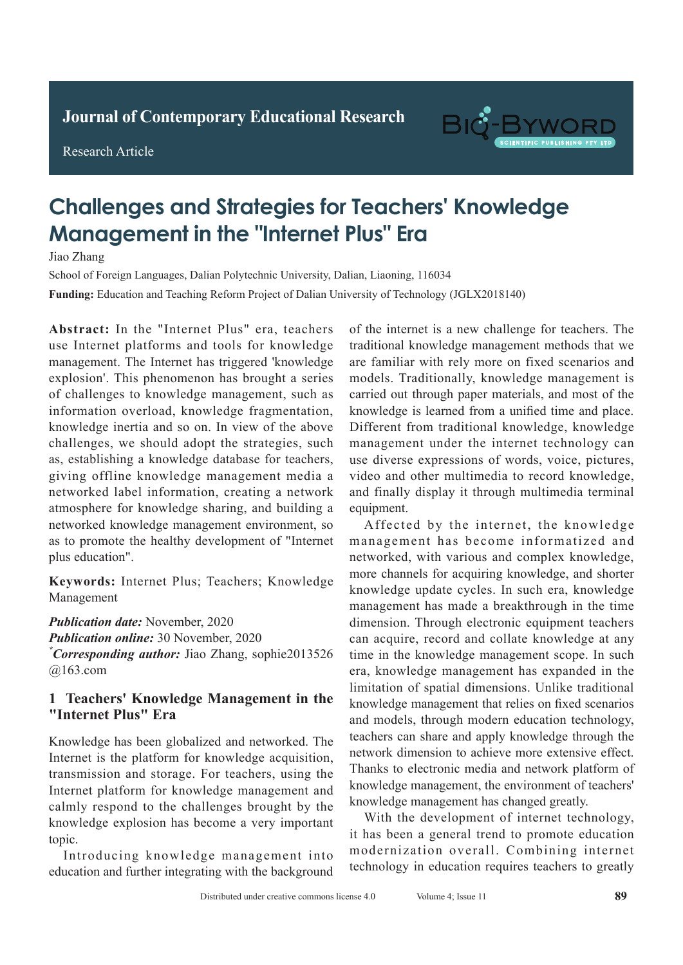**Journal of Clinical and Nursing Research Journal of Contemporary Educational Research**

**Research Article** 

Research Article



# **Challenges and Strategies for Teachers' Knowledge Management in the "Internet Plus" Era A** Adult With  $\alpha$  **Adult with Active Pulmonary Tuberculosis**

Jiao Zhang

School of Foreign Languages, Dalian Polytechnic University, Dalian, Liaoning, 116034 **Funding:** Education and Teaching Reform Project of Dalian University of Technology (JGLX2018140)

Abstract: In the "Internet Plus" era, teachers use Internet platforms and tools for knowledge management. The Internet has triggered 'knowledge explosion'. This phenomenon has brought a series of challenges to knowledge management, such as of challenges to knowledge management, such as to change to the weap management, seen as meenhanced overload, meen eage ragmentation, mowedge merid and so on. In view of the detection rate of the strategies, such challenges, we should adopt the strategies, such endinonges, we should disply the strategies, such as, establishing a knowledge database for teachers, as, establishing a knowledge database for teachers, giving offline knowledge management media a group of the knowledge management media a networked label information, creating a network atmosphere for knowledge sharing, and building a atmosphere for knowledge sharing, and building a  $\mu$  added to a spiral containing, and building a networked knowledge management environment, so as to promote the healthy development of "Internet plus education".

Keywords: Internet Plus; Teachers; Knowledge Which was significantly higher than that of conventional conventional conventional conventional conventional conventional conventional conventional conventional conventional conventional conventional conventional conventio rate of 92.00% (*P*>0.05) in the conventional chest **Keyworus.** Internet Flus, reachers, Knowledge management

 $\overline{r}$   $\overline{u}$   $\overline{u}$   $\overline{u}$   $\overline{v}$   $\overline{v}$   $\overline{v}$   $\overline{u}$   $\overline{u}$   $\overline{u}$   $\overline{u}$   $\overline{u}$   $\overline{u}$   $\overline{u}$   $\overline{u}$   $\overline{u}$   $\overline{u}$   $\overline{u}$   $\overline{u}$   $\overline{u}$   $\overline{u}$   $\overline{u}$   $\overline{u}$   $\overline{u}$   $\overline{$ *publication aate.* INOVERIDEL, 2020 **Publication online:** 30 November, 2020<br> *Publication online:* 30 November, 2020 *\*Corresponding author:* Jiao Zhang, sophie2013526  $\omega$  ros.com **Publication date:** November, 2020 @163.com that of conventional chest X-ray of 79.31%. *P*<0.05).

#### **1 Teachers' Knowledge Management in the The conventional chemical tuberculosis lesions that can**  $\mathbf{r}$

Knowledge has been globalized and networked. The Internet is the platform for knowledge acquisition, transmission and storage. For teachers, using the Internet platform for knowledge management and knowledge explosion has become a very important topic. calmly respond to the challenges brought by the  $\frac{1}{2}$  and  $\frac{1}{2}$  and  $\frac{1}{2}$  and  $\frac{1}{2}$  increased pulmonary tuberculosis increased pulmonary tuberculosis increased pulmonary tuberculosis increased pulmonary tuberculosis in the second pulmonary tuberculosis

Introducing knowledge management into education and further integrating with the background of the internet is a new challenge for teachers. The or the internet is a new entirely for teachers. The traditional knowledge management methods that we are familiar with rely more on fixed scenarios and models. Traditionally, knowledge management is extractive contribution, which carried out through paper materials, and most of the entitive our disease puper indications, and most of the knowledge is learned from a unified time and place. missingly is fearned from a annual time and practice.<br>Different from traditional knowledge, knowledge Bilitical from traditional knowledge, knowledge<br>management under the internet technology can management and end method technology can use diverse expressions of words, voice, pictures, ase diverse expressions of words, voice, pretates, video and other multimedia to record knowledge, riaco and other intrimient to record knowledge, and finally display it through multimedia terminal and infection with tuberculosis backers equipment. are familiar with rely more on fixed scenarios and<br>models. Traditionally, knowledge management is<br>carried out through paper materials, and most of the<br>knowledge is learned from a unified time and place.<br>Different from trad

equipment.<br>Affected by the internet, the knowledge minimated by the internet, the knowledge management has become informatized and  $t$ the diagram diagram is of the diagram is operation in the diagram in the diagram is operation in the diagram in the diagram is  $t$  and  $t$  and  $t$  and  $t$  and  $t$  and  $t$  and  $t$  and  $t$  and  $t$  and  $t$  and  $t$  and  $t$ networked, with various and complex knowledge, more channels for acquiring knowledge, and shorter knowledge update cycles. In such era, knowledge management has made a breakthrough in the time dimension. Through electronic equipment teachers can acquire, record and collate knowledge at any time in the knowledge management scope. In such era, knowledge management has expanded in the limitation of spatial dimensions. Unlike traditional knowledge management that relies on fixed scenarios teachers can share and apply knowledge through the **1.1 CHERCH INFORMATION C CALCHS CHERCH CHERCH CHERCH CHERCH CHERCH CHERCH CHERCH CHERCH CHERCH CHERCH CHERCH CHERCH CHERCH** knowledge management, the environment of teachers' knowledge management has changed greatly. and models, through modern education technology, network dimension to achieve more extensive effect. **1.1 General information** in the set of the set of the set of the set of the set of the set of the set of the set of the set of the set of the set of the set of the set of the set of the set of the set of the set of the

With the development of internet technology, it has been a general trend to promote education modernization overall. Combining internet technology in education requires teachers to greatly conventional chest X-ray scan and spiral CT chest X-ray scan and spiral CT chest X-ray scan and spiral CT ches<br>CT chest X-ray scan and spiral CT chest X-ray scan and spiral CT chest X-ray scan and spiral CT chest X-ray sc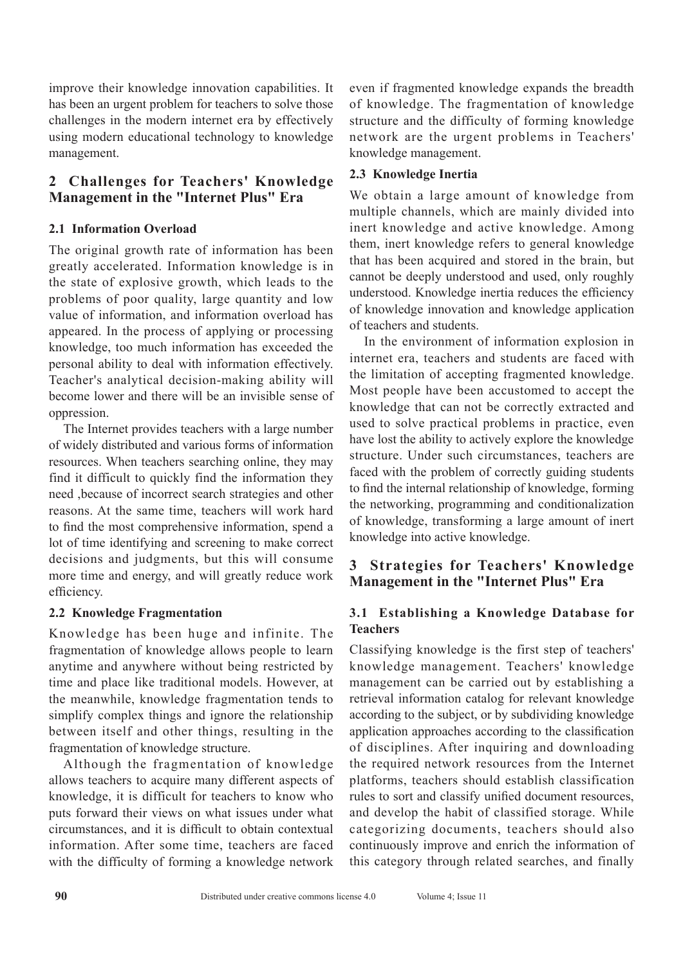improve their knowledge innovation capabilities. It has been an urgent problem for teachers to solve those challenges in the modern internet era by effectively using modern educational technology to knowledge management.

## **2 Challenges for Teachers' Knowledge Management in the "Internet Plus" Era**

## **2.1 Information Overload**

The original growth rate of information has been greatly accelerated. Information knowledge is in the state of explosive growth, which leads to the problems of poor quality, large quantity and low value of information, and information overload has appeared. In the process of applying or processing knowledge, too much information has exceeded the personal ability to deal with information effectively. Teacher's analytical decision-making ability will become lower and there will be an invisible sense of oppression.

The Internet provides teachers with a large number of widely distributed and various forms of information resources. When teachers searching online, they may find it difficult to quickly find the information they need ,because of incorrect search strategies and other reasons. At the same time, teachers will work hard to find the most comprehensive information, spend a lot of time identifying and screening to make correct decisions and judgments, but this will consume more time and energy, and will greatly reduce work efficiency.

## **2.2 Knowledge Fragmentation**

Knowledge has been huge and infinite. The fragmentation of knowledge allows people to learn anytime and anywhere without being restricted by time and place like traditional models. However, at the meanwhile, knowledge fragmentation tends to simplify complex things and ignore the relationship between itself and other things, resulting in the fragmentation of knowledge structure.

Although the fragmentation of knowledge allows teachers to acquire many different aspects of knowledge, it is difficult for teachers to know who puts forward their views on what issues under what circumstances, and it is difficult to obtain contextual information. After some time, teachers are faced with the difficulty of forming a knowledge network

even if fragmented knowledge expands the breadth of knowledge. The fragmentation of knowledge structure and the difficulty of forming knowledge network are the urgent problems in Teachers' knowledge management.

## **2.3 Knowledge Inertia**

We obtain a large amount of knowledge from multiple channels, which are mainly divided into inert knowledge and active knowledge. Among them, inert knowledge refers to general knowledge that has been acquired and stored in the brain, but cannot be deeply understood and used, only roughly understood. Knowledge inertia reduces the efficiency of knowledge innovation and knowledge application of teachers and students.

In the environment of information explosion in internet era, teachers and students are faced with the limitation of accepting fragmented knowledge. Most people have been accustomed to accept the knowledge that can not be correctly extracted and used to solve practical problems in practice, even have lost the ability to actively explore the knowledge structure. Under such circumstances, teachers are faced with the problem of correctly guiding students to find the internal relationship of knowledge, forming the networking, programming and conditionalization of knowledge, transforming a large amount of inert knowledge into active knowledge.

# **3 Strategies for Teachers' Knowledge Management in the "Internet Plus" Era**

## **3.1 Establishing a Knowledge Database for Teachers**

Classifying knowledge is the first step of teachers' knowledge management. Teachers' knowledge management can be carried out by establishing a retrieval information catalog for relevant knowledge according to the subject, or by subdividing knowledge application approaches according to the classification of disciplines. After inquiring and downloading the required network resources from the Internet platforms, teachers should establish classification rules to sort and classify unified document resources, and develop the habit of classified storage. While categorizing documents, teachers should also continuously improve and enrich the information of this category through related searches, and finally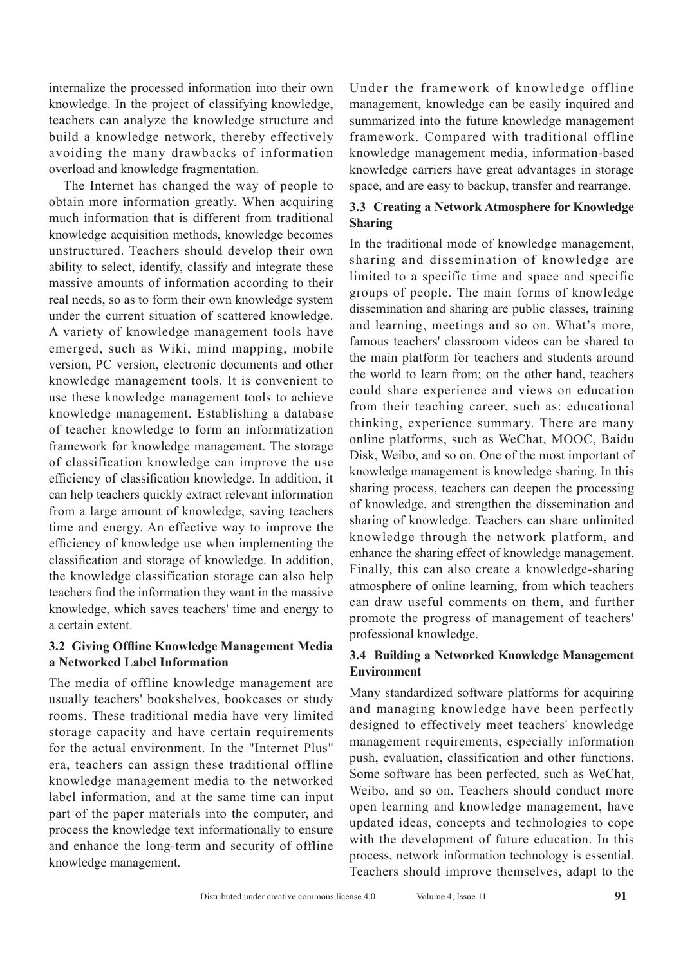internalize the processed information into their own knowledge. In the project of classifying knowledge, teachers can analyze the knowledge structure and build a knowledge network, thereby effectively avoiding the many drawbacks of information overload and knowledge fragmentation.

The Internet has changed the way of people to obtain more information greatly. When acquiring much information that is different from traditional knowledge acquisition methods, knowledge becomes unstructured. Teachers should develop their own ability to select, identify, classify and integrate these massive amounts of information according to their real needs, so as to form their own knowledge system under the current situation of scattered knowledge. A variety of knowledge management tools have emerged, such as Wiki, mind mapping, mobile version, PC version, electronic documents and other knowledge management tools. It is convenient to use these knowledge management tools to achieve knowledge management. Establishing a database of teacher knowledge to form an informatization framework for knowledge management. The storage of classification knowledge can improve the use efficiency of classification knowledge. In addition, it can help teachers quickly extract relevant information from a large amount of knowledge, saving teachers time and energy. An effective way to improve the efficiency of knowledge use when implementing the classification and storage of knowledge. In addition, the knowledge classification storage can also help teachers find the information they want in the massive knowledge, which saves teachers' time and energy to a certain extent.

## **3.2 Giving Offline Knowledge Management Media a Networked Label Information**

The media of offline knowledge management are usually teachers' bookshelves, bookcases or study rooms. These traditional media have very limited storage capacity and have certain requirements for the actual environment. In the "Internet Plus" era, teachers can assign these traditional offline knowledge management media to the networked label information, and at the same time can input part of the paper materials into the computer, and process the knowledge text informationally to ensure and enhance the long-term and security of offline knowledge management.

Under the framework of knowledge offline management, knowledge can be easily inquired and summarized into the future knowledge management framework. Compared with traditional offline knowledge management media, information-based knowledge carriers have great advantages in storage space, and are easy to backup, transfer and rearrange.

#### **3.3 Creating a Network Atmosphere for Knowledge Sharing**

In the traditional mode of knowledge management, sharing and dissemination of knowledge are limited to a specific time and space and specific groups of people. The main forms of knowledge dissemination and sharing are public classes, training and learning, meetings and so on. What's more, famous teachers' classroom videos can be shared to the main platform for teachers and students around the world to learn from; on the other hand, teachers could share experience and views on education from their teaching career, such as: educational thinking, experience summary. There are many online platforms, such as WeChat, MOOC, Baidu Disk, Weibo, and so on. One of the most important of knowledge management is knowledge sharing. In this sharing process, teachers can deepen the processing of knowledge, and strengthen the dissemination and sharing of knowledge. Teachers can share unlimited knowledge through the network platform, and enhance the sharing effect of knowledge management. Finally, this can also create a knowledge-sharing atmosphere of online learning, from which teachers can draw useful comments on them, and further promote the progress of management of teachers' professional knowledge.

## **3.4 Building a Networked Knowledge Management Environment**

Many standardized software platforms for acquiring and managing knowledge have been perfectly designed to effectively meet teachers' knowledge management requirements, especially information push, evaluation, classification and other functions. Some software has been perfected, such as WeChat, Weibo, and so on. Teachers should conduct more open learning and knowledge management, have updated ideas, concepts and technologies to cope with the development of future education. In this process, network information technology is essential. Teachers should improve themselves, adapt to the